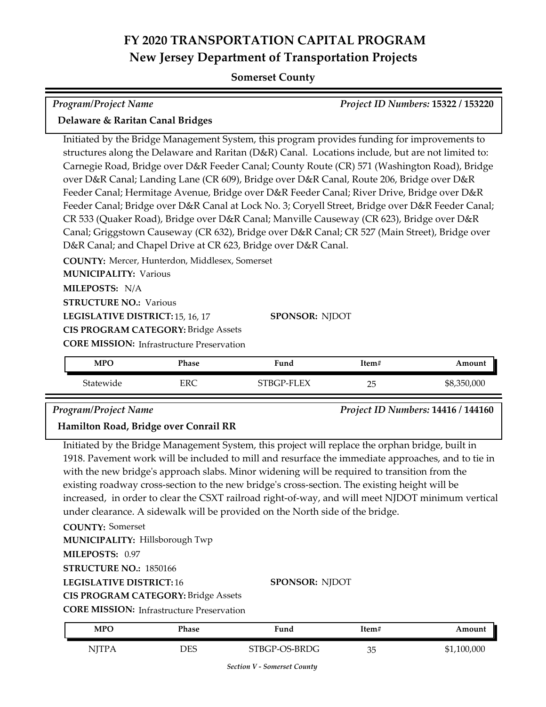## **FY 2020 TRANSPORTATION CAPITAL PROGRAM New Jersey Department of Transportation Projects**

#### **Somerset County**

| <b>Program/Project Name</b>                                                                                                                                                                                                                                                                                                                                                                                                                                                                                                                                                                                                                                                                                                                                                                                                                                   |              |            |       | Project ID Numbers: 15322 / 153220 |  |
|---------------------------------------------------------------------------------------------------------------------------------------------------------------------------------------------------------------------------------------------------------------------------------------------------------------------------------------------------------------------------------------------------------------------------------------------------------------------------------------------------------------------------------------------------------------------------------------------------------------------------------------------------------------------------------------------------------------------------------------------------------------------------------------------------------------------------------------------------------------|--------------|------------|-------|------------------------------------|--|
| Delaware & Raritan Canal Bridges                                                                                                                                                                                                                                                                                                                                                                                                                                                                                                                                                                                                                                                                                                                                                                                                                              |              |            |       |                                    |  |
| Initiated by the Bridge Management System, this program provides funding for improvements to<br>structures along the Delaware and Raritan (D&R) Canal. Locations include, but are not limited to:<br>Carnegie Road, Bridge over D&R Feeder Canal; County Route (CR) 571 (Washington Road), Bridge<br>over D&R Canal; Landing Lane (CR 609), Bridge over D&R Canal, Route 206, Bridge over D&R<br>Feeder Canal; Hermitage Avenue, Bridge over D&R Feeder Canal; River Drive, Bridge over D&R<br>Feeder Canal; Bridge over D&R Canal at Lock No. 3; Coryell Street, Bridge over D&R Feeder Canal;<br>CR 533 (Quaker Road), Bridge over D&R Canal; Manville Causeway (CR 623), Bridge over D&R<br>Canal; Griggstown Causeway (CR 632), Bridge over D&R Canal; CR 527 (Main Street), Bridge over<br>D&R Canal; and Chapel Drive at CR 623, Bridge over D&R Canal. |              |            |       |                                    |  |
| COUNTY: Mercer, Hunterdon, Middlesex, Somerset                                                                                                                                                                                                                                                                                                                                                                                                                                                                                                                                                                                                                                                                                                                                                                                                                |              |            |       |                                    |  |
| <b>MUNICIPALITY: Various</b>                                                                                                                                                                                                                                                                                                                                                                                                                                                                                                                                                                                                                                                                                                                                                                                                                                  |              |            |       |                                    |  |
| MILEPOSTS: N/A                                                                                                                                                                                                                                                                                                                                                                                                                                                                                                                                                                                                                                                                                                                                                                                                                                                |              |            |       |                                    |  |
| <b>STRUCTURE NO.: Various</b>                                                                                                                                                                                                                                                                                                                                                                                                                                                                                                                                                                                                                                                                                                                                                                                                                                 |              |            |       |                                    |  |
| LEGISLATIVE DISTRICT: 15, 16, 17<br><b>SPONSOR: NJDOT</b>                                                                                                                                                                                                                                                                                                                                                                                                                                                                                                                                                                                                                                                                                                                                                                                                     |              |            |       |                                    |  |
| <b>CIS PROGRAM CATEGORY: Bridge Assets</b>                                                                                                                                                                                                                                                                                                                                                                                                                                                                                                                                                                                                                                                                                                                                                                                                                    |              |            |       |                                    |  |
| <b>CORE MISSION:</b> Infrastructure Preservation                                                                                                                                                                                                                                                                                                                                                                                                                                                                                                                                                                                                                                                                                                                                                                                                              |              |            |       |                                    |  |
| <b>MPO</b>                                                                                                                                                                                                                                                                                                                                                                                                                                                                                                                                                                                                                                                                                                                                                                                                                                                    | <b>Phase</b> | Fund       | Item# | Amount                             |  |
| Statewide                                                                                                                                                                                                                                                                                                                                                                                                                                                                                                                                                                                                                                                                                                                                                                                                                                                     | <b>ERC</b>   | STBGP-FLEX | 25    | \$8,350,000                        |  |

*Program/Project Name Project ID Numbers:* **14416 / 144160**

#### **Hamilton Road, Bridge over Conrail RR**

Initiated by the Bridge Management System, this project will replace the orphan bridge, built in 1918. Pavement work will be included to mill and resurface the immediate approaches, and to tie in with the new bridge's approach slabs. Minor widening will be required to transition from the existing roadway cross-section to the new bridge's cross-section. The existing height will be increased, in order to clear the CSXT railroad right-of-way, and will meet NJDOT minimum vertical under clearance. A sidewalk will be provided on the North side of the bridge.

**COUNTY:** Somerset **LEGISLATIVE DISTRICT:** 16 **MILEPOSTS:** 0.97 **STRUCTURE NO.:** 1850166 **MUNICIPALITY: Hillsborough Twp** 

**SPONSOR:** NJDOT

**CIS PROGRAM CATEGORY:** Bridge Assets

**CORE MISSION:** Infrastructure Preservation

| MPO    | Phase | Fund          | ltem# | Amount      |
|--------|-------|---------------|-------|-------------|
| NITP A | DES   | STBGP-OS-BRDG | 35    | \$1,100,000 |

*Section V - Somerset County*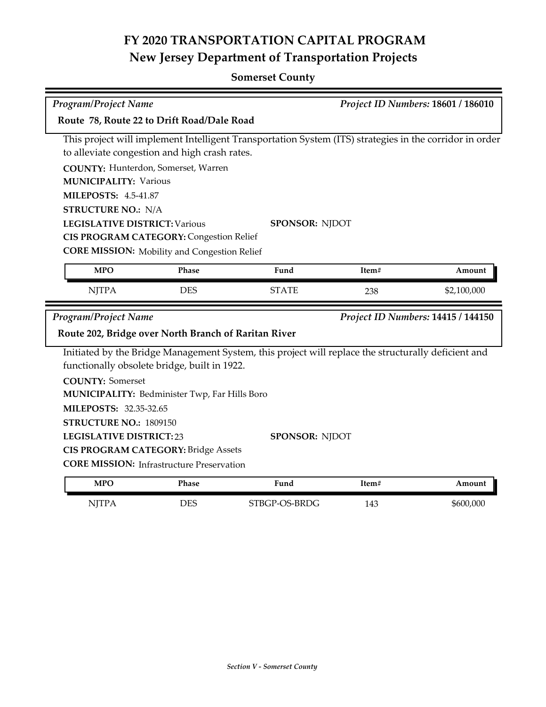# **FY 2020 TRANSPORTATION CAPITAL PROGRAM New Jersey Department of Transportation Projects**

## **Somerset County**

| Program/Project Name                                                                                    |                                                     |                                                                                                     | Project ID Numbers: 18601 / 186010 |                                    |  |  |
|---------------------------------------------------------------------------------------------------------|-----------------------------------------------------|-----------------------------------------------------------------------------------------------------|------------------------------------|------------------------------------|--|--|
| Route 78, Route 22 to Drift Road/Dale Road                                                              |                                                     |                                                                                                     |                                    |                                    |  |  |
| This project will implement Intelligent Transportation System (ITS) strategies in the corridor in order |                                                     |                                                                                                     |                                    |                                    |  |  |
|                                                                                                         | to alleviate congestion and high crash rates.       |                                                                                                     |                                    |                                    |  |  |
|                                                                                                         | COUNTY: Hunterdon, Somerset, Warren                 |                                                                                                     |                                    |                                    |  |  |
| <b>MUNICIPALITY: Various</b>                                                                            |                                                     |                                                                                                     |                                    |                                    |  |  |
| <b>MILEPOSTS: 4.5-41.87</b>                                                                             |                                                     |                                                                                                     |                                    |                                    |  |  |
| <b>STRUCTURE NO.: N/A</b>                                                                               |                                                     |                                                                                                     |                                    |                                    |  |  |
| <b>LEGISLATIVE DISTRICT: Various</b>                                                                    |                                                     | <b>SPONSOR: NJDOT</b>                                                                               |                                    |                                    |  |  |
|                                                                                                         | <b>CIS PROGRAM CATEGORY: Congestion Relief</b>      |                                                                                                     |                                    |                                    |  |  |
|                                                                                                         | <b>CORE MISSION:</b> Mobility and Congestion Relief |                                                                                                     |                                    |                                    |  |  |
| <b>MPO</b>                                                                                              | Phase                                               | Fund                                                                                                | Item#                              | Amount                             |  |  |
| <b>NJTPA</b>                                                                                            | <b>DES</b>                                          | <b>STATE</b>                                                                                        | 238                                | \$2,100,000                        |  |  |
| Program/Project Name                                                                                    |                                                     |                                                                                                     |                                    | Project ID Numbers: 14415 / 144150 |  |  |
| Route 202, Bridge over North Branch of Raritan River                                                    |                                                     |                                                                                                     |                                    |                                    |  |  |
|                                                                                                         | functionally obsolete bridge, built in 1922.        | Initiated by the Bridge Management System, this project will replace the structurally deficient and |                                    |                                    |  |  |
| <b>COUNTY: Somerset</b>                                                                                 |                                                     |                                                                                                     |                                    |                                    |  |  |
| MUNICIPALITY: Bedminister Twp, Far Hills Boro                                                           |                                                     |                                                                                                     |                                    |                                    |  |  |
| MILEPOSTS: 32.35-32.65                                                                                  |                                                     |                                                                                                     |                                    |                                    |  |  |
|                                                                                                         | STRUCTURE NO.: 1809150                              |                                                                                                     |                                    |                                    |  |  |
| <b>LEGISLATIVE DISTRICT:23</b>                                                                          |                                                     | SPONSOR: NJDOT                                                                                      |                                    |                                    |  |  |
| <b>CIS PROGRAM CATEGORY: Bridge Assets</b>                                                              |                                                     |                                                                                                     |                                    |                                    |  |  |
| <b>CORE MISSION:</b> Infrastructure Preservation                                                        |                                                     |                                                                                                     |                                    |                                    |  |  |
| <b>MPO</b>                                                                                              | Phase                                               | Fund                                                                                                | Item#                              | Amount                             |  |  |
| <b>NJTPA</b>                                                                                            | <b>DES</b>                                          | STBGP-OS-BRDG                                                                                       | 143                                | \$600,000                          |  |  |